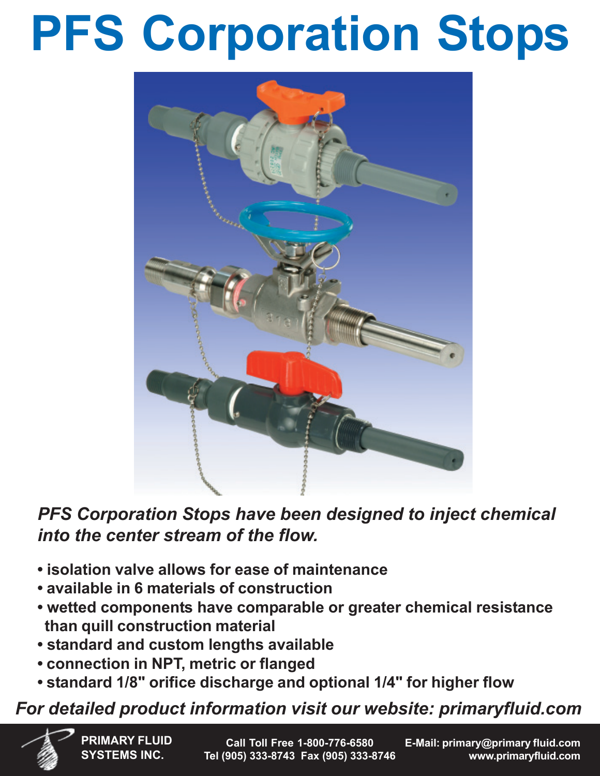# **PFS Corporation Stops**



*PFS Corporation Stops have been designed to inject chemical into the center stream of the flow.*

- **• isolation valve allows for ease of maintenance**
- **available in 6 materials of construction**
- **wetted components have comparable or greater chemical resistance than quill construction material**
- **standard and custom lengths available**
- **connection in NPT, metric or flanged**
- **standard 1/8" orifice discharge and optional 1/4" for higher flow**

## *For detailed product information visit our website: primaryfluid.com*

**PRIMARY FLUID SYSTEMS INC.**